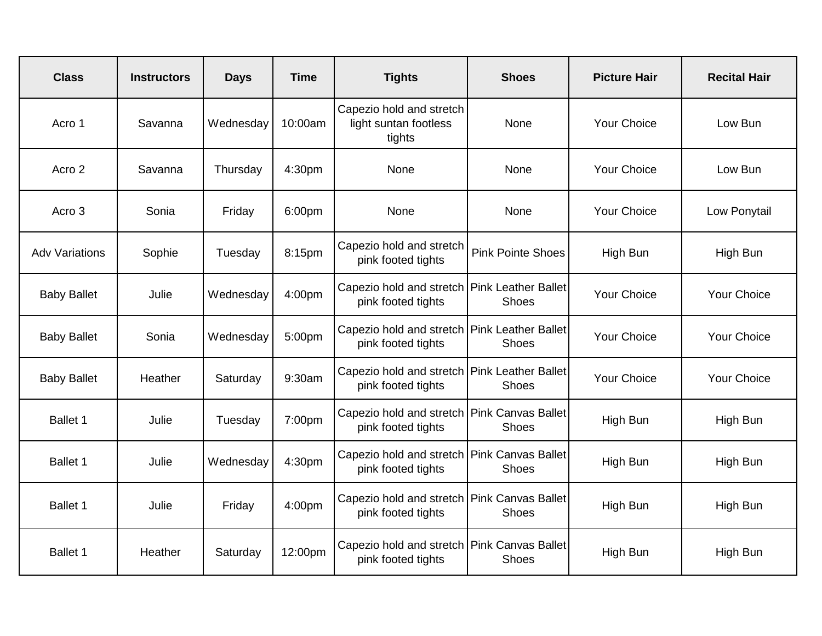| <b>Class</b>          | <b>Instructors</b> | <b>Days</b> | <b>Time</b> | <b>Tights</b>                                                     | <b>Shoes</b>                               | <b>Picture Hair</b> | <b>Recital Hair</b> |
|-----------------------|--------------------|-------------|-------------|-------------------------------------------------------------------|--------------------------------------------|---------------------|---------------------|
| Acro 1                | Savanna            | Wednesday   | 10:00am     | Capezio hold and stretch<br>light suntan footless<br>tights       | None                                       | <b>Your Choice</b>  | Low Bun             |
| Acro 2                | Savanna            | Thursday    | 4:30pm      | None                                                              | None                                       | <b>Your Choice</b>  | Low Bun             |
| Acro 3                | Sonia              | Friday      | 6:00pm      | None                                                              | None                                       | <b>Your Choice</b>  | Low Ponytail        |
| <b>Adv Variations</b> | Sophie             | Tuesday     | 8:15pm      | Capezio hold and stretch<br>pink footed tights                    | <b>Pink Pointe Shoes</b>                   | High Bun            | High Bun            |
| <b>Baby Ballet</b>    | Julie              | Wednesday   | 4:00pm      | Capezio hold and stretch<br>pink footed tights                    | <b>Pink Leather Ballet</b><br><b>Shoes</b> | <b>Your Choice</b>  | Your Choice         |
| <b>Baby Ballet</b>    | Sonia              | Wednesday   | 5:00pm      | Capezio hold and stretch<br>pink footed tights                    | <b>Pink Leather Ballet</b><br><b>Shoes</b> | <b>Your Choice</b>  | Your Choice         |
| <b>Baby Ballet</b>    | Heather            | Saturday    | 9:30am      | Capezio hold and stretch<br>pink footed tights                    | <b>Pink Leather Ballet</b><br>Shoes        | <b>Your Choice</b>  | <b>Your Choice</b>  |
| Ballet 1              | Julie              | Tuesday     | 7:00pm      | Capezio hold and stretch<br>pink footed tights                    | <b>Pink Canvas Ballet</b><br><b>Shoes</b>  | High Bun            | <b>High Bun</b>     |
| Ballet 1              | Julie              | Wednesday   | 4:30pm      | Capezio hold and stretch<br>pink footed tights                    | <b>Pink Canvas Ballet</b><br><b>Shoes</b>  | High Bun            | High Bun            |
| Ballet 1              | Julie              | Friday      | 4:00pm      | Capezio hold and stretch Pink Canvas Ballet<br>pink footed tights | <b>Shoes</b>                               | High Bun            | High Bun            |
| Ballet 1              | Heather            | Saturday    | 12:00pm     | Capezio hold and stretch<br>pink footed tights                    | <b>Pink Canvas Ballet</b><br><b>Shoes</b>  | High Bun            | High Bun            |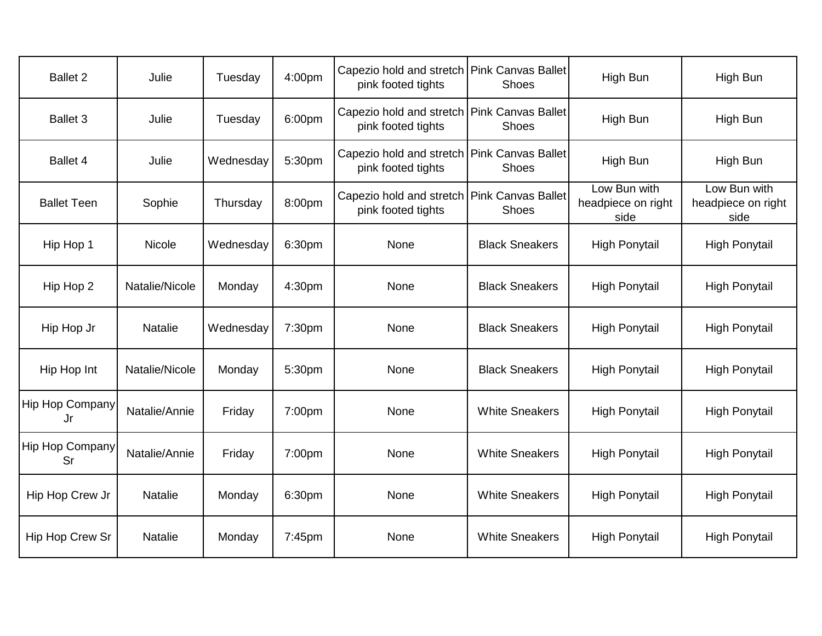| <b>Ballet 2</b>              | Julie          | Tuesday   | 4:00pm | Capezio hold and stretch   Pink Canvas Ballet<br>pink footed tights | <b>Shoes</b>                       | High Bun                                   | High Bun                                   |
|------------------------------|----------------|-----------|--------|---------------------------------------------------------------------|------------------------------------|--------------------------------------------|--------------------------------------------|
| <b>Ballet 3</b>              | Julie          | Tuesday   | 6:00pm | Capezio hold and stretch<br>pink footed tights                      | <b>Pink Canvas Ballet</b><br>Shoes | High Bun                                   | High Bun                                   |
| <b>Ballet 4</b>              | Julie          | Wednesday | 5:30pm | Capezio hold and stretch<br>pink footed tights                      | Pink Canvas Ballet<br><b>Shoes</b> | High Bun                                   | High Bun                                   |
| <b>Ballet Teen</b>           | Sophie         | Thursday  | 8:00pm | Capezio hold and stretch   Pink Canvas Ballet<br>pink footed tights | Shoes                              | Low Bun with<br>headpiece on right<br>side | Low Bun with<br>headpiece on right<br>side |
| Hip Hop 1                    | <b>Nicole</b>  | Wednesday | 6:30pm | None                                                                | <b>Black Sneakers</b>              | <b>High Ponytail</b>                       | <b>High Ponytail</b>                       |
| Hip Hop 2                    | Natalie/Nicole | Monday    | 4:30pm | None                                                                | <b>Black Sneakers</b>              | <b>High Ponytail</b>                       | <b>High Ponytail</b>                       |
| Hip Hop Jr                   | <b>Natalie</b> | Wednesday | 7:30pm | None                                                                | <b>Black Sneakers</b>              | <b>High Ponytail</b>                       | <b>High Ponytail</b>                       |
| Hip Hop Int                  | Natalie/Nicole | Monday    | 5:30pm | None                                                                | <b>Black Sneakers</b>              | <b>High Ponytail</b>                       | <b>High Ponytail</b>                       |
| <b>Hip Hop Company</b><br>Jr | Natalie/Annie  | Friday    | 7:00pm | None                                                                | <b>White Sneakers</b>              | <b>High Ponytail</b>                       | <b>High Ponytail</b>                       |
| <b>Hip Hop Company</b><br>Sr | Natalie/Annie  | Friday    | 7:00pm | None                                                                | <b>White Sneakers</b>              | <b>High Ponytail</b>                       | <b>High Ponytail</b>                       |
| Hip Hop Crew Jr              | <b>Natalie</b> | Monday    | 6:30pm | None                                                                | <b>White Sneakers</b>              | <b>High Ponytail</b>                       | <b>High Ponytail</b>                       |
| Hip Hop Crew Sr              | <b>Natalie</b> | Monday    | 7:45pm | None                                                                | <b>White Sneakers</b>              | <b>High Ponytail</b>                       | <b>High Ponytail</b>                       |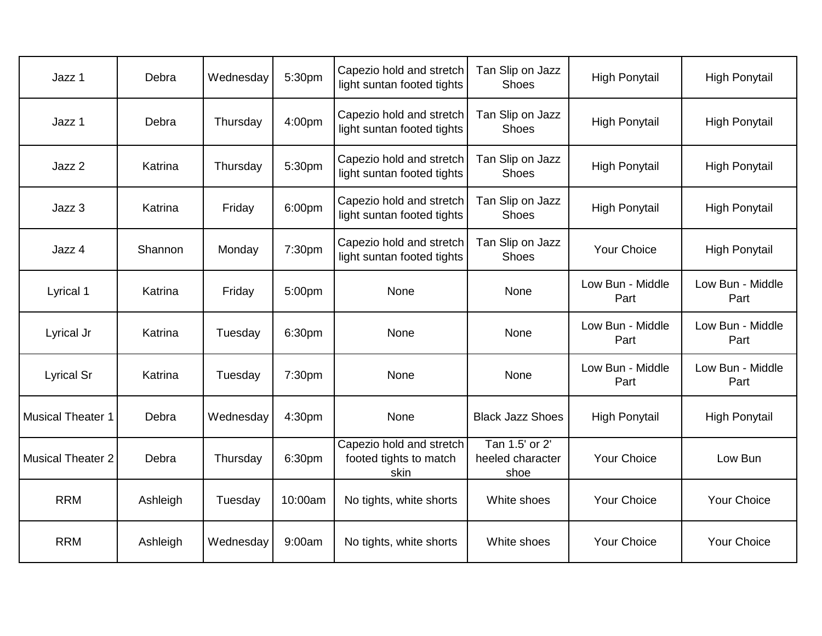| Jazz 1                   | Debra    | Wednesday | 5:30pm  | Capezio hold and stretch<br>light suntan footed tights     | Tan Slip on Jazz<br><b>Shoes</b>           | <b>High Ponytail</b>     | <b>High Ponytail</b>     |
|--------------------------|----------|-----------|---------|------------------------------------------------------------|--------------------------------------------|--------------------------|--------------------------|
| Jazz 1                   | Debra    | Thursday  | 4:00pm  | Capezio hold and stretch<br>light suntan footed tights     | Tan Slip on Jazz<br><b>Shoes</b>           | <b>High Ponytail</b>     | <b>High Ponytail</b>     |
| Jazz 2                   | Katrina  | Thursday  | 5:30pm  | Capezio hold and stretch<br>light suntan footed tights     | Tan Slip on Jazz<br><b>Shoes</b>           | <b>High Ponytail</b>     | <b>High Ponytail</b>     |
| Jazz 3                   | Katrina  | Friday    | 6:00pm  | Capezio hold and stretch<br>light suntan footed tights     | Tan Slip on Jazz<br><b>Shoes</b>           | <b>High Ponytail</b>     | <b>High Ponytail</b>     |
| Jazz 4                   | Shannon  | Monday    | 7:30pm  | Capezio hold and stretch<br>light suntan footed tights     | Tan Slip on Jazz<br>Shoes                  | Your Choice              | <b>High Ponytail</b>     |
| Lyrical 1                | Katrina  | Friday    | 5:00pm  | None                                                       | None                                       | Low Bun - Middle<br>Part | Low Bun - Middle<br>Part |
| Lyrical Jr               | Katrina  | Tuesday   | 6:30pm  | None                                                       | None                                       | Low Bun - Middle<br>Part | Low Bun - Middle<br>Part |
| <b>Lyrical Sr</b>        | Katrina  | Tuesday   | 7:30pm  | None                                                       | None                                       | Low Bun - Middle<br>Part | Low Bun - Middle<br>Part |
| <b>Musical Theater 1</b> | Debra    | Wednesday | 4:30pm  | None                                                       | <b>Black Jazz Shoes</b>                    | <b>High Ponytail</b>     | <b>High Ponytail</b>     |
| <b>Musical Theater 2</b> | Debra    | Thursday  | 6:30pm  | Capezio hold and stretch<br>footed tights to match<br>skin | Tan 1.5' or 2'<br>heeled character<br>shoe | <b>Your Choice</b>       | Low Bun                  |
| <b>RRM</b>               | Ashleigh | Tuesday   | 10:00am | No tights, white shorts                                    | White shoes                                | <b>Your Choice</b>       | <b>Your Choice</b>       |
| <b>RRM</b>               | Ashleigh | Wednesday | 9:00am  | No tights, white shorts                                    | White shoes                                | <b>Your Choice</b>       | <b>Your Choice</b>       |